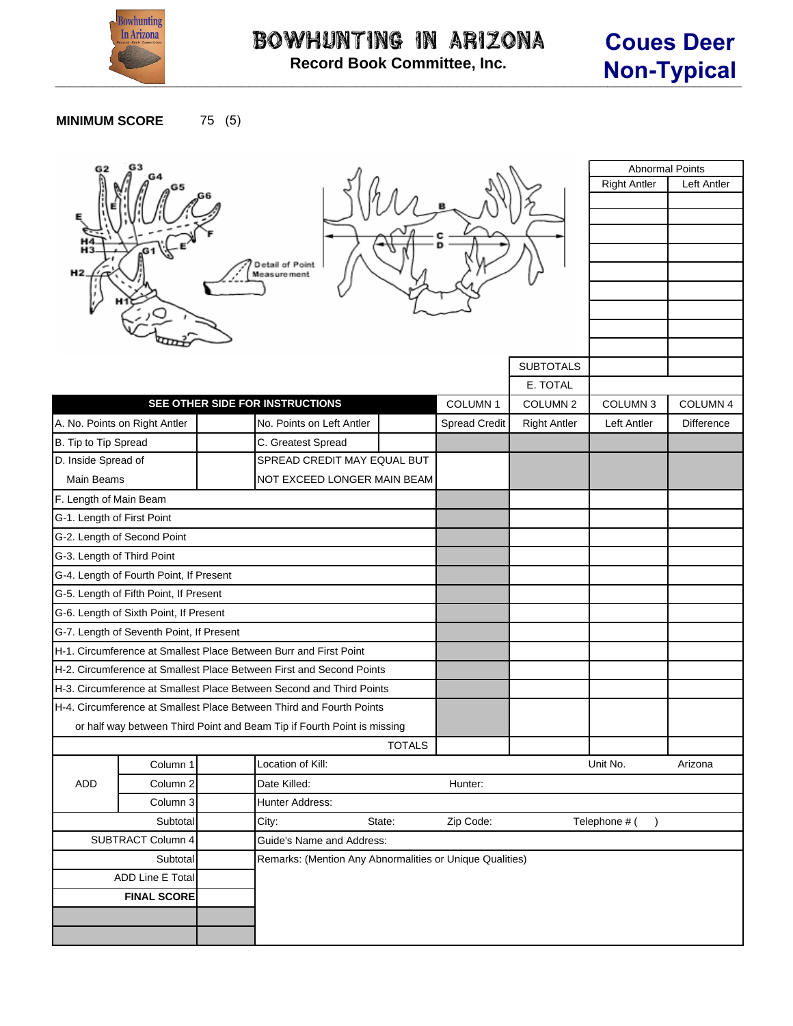

## **MINIMUM SCORE** 75 (5)

| G2                         | G3                                       |  |                                                                         |               |                      |                     | <b>Abnormal Points</b> |             |
|----------------------------|------------------------------------------|--|-------------------------------------------------------------------------|---------------|----------------------|---------------------|------------------------|-------------|
|                            |                                          |  |                                                                         |               |                      |                     | <b>Right Antler</b>    | Left Antler |
|                            |                                          |  |                                                                         |               |                      |                     |                        |             |
|                            |                                          |  |                                                                         |               |                      |                     |                        |             |
|                            |                                          |  |                                                                         |               |                      |                     |                        |             |
|                            |                                          |  | Detail of Point                                                         |               |                      |                     |                        |             |
|                            |                                          |  | Measure ment                                                            |               |                      |                     |                        |             |
|                            |                                          |  |                                                                         |               |                      |                     |                        |             |
|                            |                                          |  |                                                                         |               |                      |                     |                        |             |
|                            |                                          |  |                                                                         |               |                      |                     |                        |             |
|                            |                                          |  |                                                                         |               |                      | <b>SUBTOTALS</b>    |                        |             |
|                            |                                          |  |                                                                         |               |                      | E. TOTAL            |                        |             |
|                            |                                          |  | SEE OTHER SIDE FOR INSTRUCTIONS                                         |               | COLUMN <sub>1</sub>  | COLUMN <sub>2</sub> | COLUMN <sub>3</sub>    | COLUMN 4    |
|                            | A. No. Points on Right Antler            |  | No. Points on Left Antler                                               |               | <b>Spread Credit</b> | <b>Right Antler</b> | Left Antler            | Difference  |
| B. Tip to Tip Spread       |                                          |  | C. Greatest Spread                                                      |               |                      |                     |                        |             |
| D. Inside Spread of        |                                          |  | SPREAD CREDIT MAY EQUAL BUT                                             |               |                      |                     |                        |             |
| Main Beams                 | NOT EXCEED LONGER MAIN BEAM              |  |                                                                         |               |                      |                     |                        |             |
| F. Length of Main Beam     |                                          |  |                                                                         |               |                      |                     |                        |             |
| G-1. Length of First Point |                                          |  |                                                                         |               |                      |                     |                        |             |
|                            | G-2. Length of Second Point              |  |                                                                         |               |                      |                     |                        |             |
| G-3. Length of Third Point |                                          |  |                                                                         |               |                      |                     |                        |             |
|                            | G-4. Length of Fourth Point, If Present  |  |                                                                         |               |                      |                     |                        |             |
|                            | G-5. Length of Fifth Point, If Present   |  |                                                                         |               |                      |                     |                        |             |
|                            | G-6. Length of Sixth Point, If Present   |  |                                                                         |               |                      |                     |                        |             |
|                            | G-7. Length of Seventh Point, If Present |  |                                                                         |               |                      |                     |                        |             |
|                            |                                          |  | H-1. Circumference at Smallest Place Between Burr and First Point       |               |                      |                     |                        |             |
|                            |                                          |  | H-2. Circumference at Smallest Place Between First and Second Points    |               |                      |                     |                        |             |
|                            |                                          |  | H-3. Circumference at Smallest Place Between Second and Third Points    |               |                      |                     |                        |             |
|                            |                                          |  | H-4. Circumference at Smallest Place Between Third and Fourth Points    |               |                      |                     |                        |             |
|                            |                                          |  | or half way between Third Point and Beam Tip if Fourth Point is missing |               |                      |                     |                        |             |
|                            |                                          |  |                                                                         | <b>TOTALS</b> |                      |                     |                        |             |
|                            | Column 1                                 |  | Location of Kill:                                                       | Unit No.      | Arizona              |                     |                        |             |
| ADD                        | Column 2                                 |  | Date Killed:                                                            |               |                      |                     |                        |             |
|                            | Column 3                                 |  | Hunter Address:                                                         |               |                      |                     |                        |             |
|                            | Subtotal                                 |  | State:<br>City:                                                         |               | Zip Code:            |                     | Telephone # (          |             |
|                            | SUBTRACT Column 4                        |  | Guide's Name and Address:                                               |               |                      |                     |                        |             |
|                            | Subtotal                                 |  | Remarks: (Mention Any Abnormalities or Unique Qualities)                |               |                      |                     |                        |             |
| ADD Line E Total           |                                          |  |                                                                         |               |                      |                     |                        |             |
|                            | <b>FINAL SCORE</b>                       |  |                                                                         |               |                      |                     |                        |             |
|                            |                                          |  |                                                                         |               |                      |                     |                        |             |
|                            |                                          |  |                                                                         |               |                      |                     |                        |             |